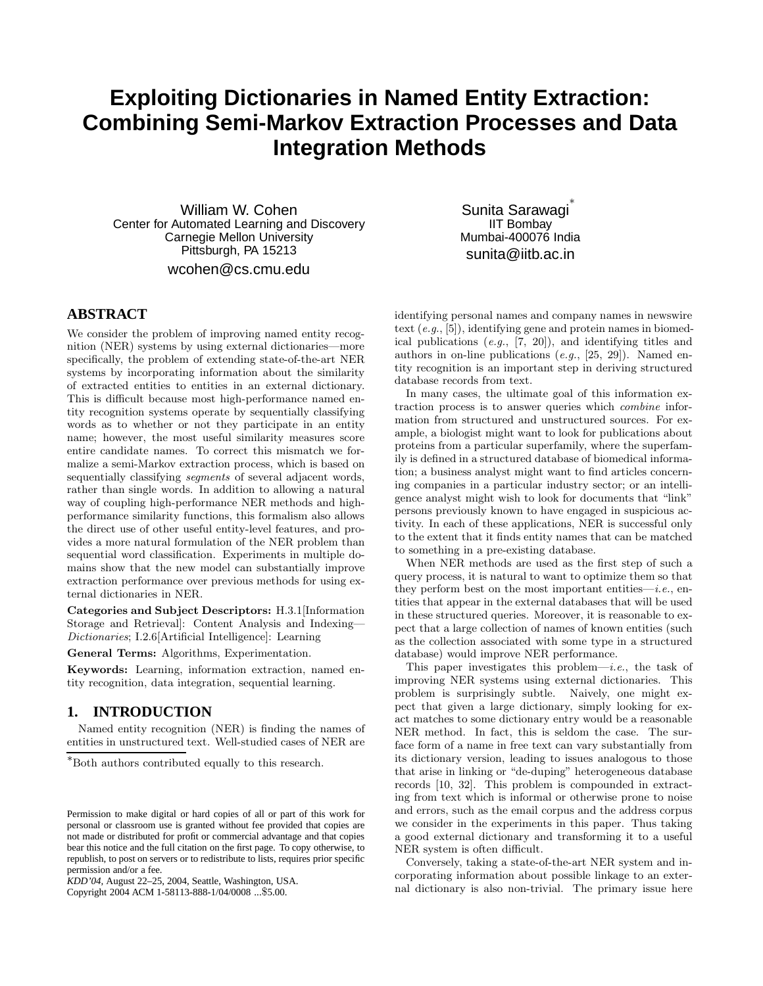# **Exploiting Dictionaries in Named Entity Extraction: Combining Semi-Markov Extraction Processes and Data Integration Methods**

William W. Cohen Center for Automated Learning and Discovery Carnegie Mellon University Pittsburgh, PA 15213 wcohen@cs.cmu.edu

Sunita Sarawagi ∗ IIT Bombay Mumbai-400076 India sunita@iitb.ac.in

# **ABSTRACT**

We consider the problem of improving named entity recognition (NER) systems by using external dictionaries—more specifically, the problem of extending state-of-the-art NER systems by incorporating information about the similarity of extracted entities to entities in an external dictionary. This is difficult because most high-performance named entity recognition systems operate by sequentially classifying words as to whether or not they participate in an entity name; however, the most useful similarity measures score entire candidate names. To correct this mismatch we formalize a semi-Markov extraction process, which is based on sequentially classifying *segments* of several adjacent words, rather than single words. In addition to allowing a natural way of coupling high-performance NER methods and highperformance similarity functions, this formalism also allows the direct use of other useful entity-level features, and provides a more natural formulation of the NER problem than sequential word classification. Experiments in multiple domains show that the new model can substantially improve extraction performance over previous methods for using external dictionaries in NER.

Categories and Subject Descriptors: H.3.1[Information Storage and Retrieval]: Content Analysis and Indexing— Dictionaries; I.2.6[Artificial Intelligence]: Learning

General Terms: Algorithms, Experimentation.

Keywords: Learning, information extraction, named entity recognition, data integration, sequential learning.

# **1. INTRODUCTION**

Named entity recognition (NER) is finding the names of entities in unstructured text. Well-studied cases of NER are

Copyright 2004 ACM 1-58113-888-1/04/0008 ...\$5.00.

identifying personal names and company names in newswire text  $(e,q, [5])$ , identifying gene and protein names in biomedical publications (e.g., [7, 20]), and identifying titles and authors in on-line publications  $(e.g., [25, 29])$ . Named entity recognition is an important step in deriving structured database records from text.

In many cases, the ultimate goal of this information extraction process is to answer queries which combine information from structured and unstructured sources. For example, a biologist might want to look for publications about proteins from a particular superfamily, where the superfamily is defined in a structured database of biomedical information; a business analyst might want to find articles concerning companies in a particular industry sector; or an intelligence analyst might wish to look for documents that "link" persons previously known to have engaged in suspicious activity. In each of these applications, NER is successful only to the extent that it finds entity names that can be matched to something in a pre-existing database.

When NER methods are used as the first step of such a query process, it is natural to want to optimize them so that they perform best on the most important entities—*i.e.*, entities that appear in the external databases that will be used in these structured queries. Moreover, it is reasonable to expect that a large collection of names of known entities (such as the collection associated with some type in a structured database) would improve NER performance.

This paper investigates this problem—*i.e.*, the task of improving NER systems using external dictionaries. This problem is surprisingly subtle. Naively, one might expect that given a large dictionary, simply looking for exact matches to some dictionary entry would be a reasonable NER method. In fact, this is seldom the case. The surface form of a name in free text can vary substantially from its dictionary version, leading to issues analogous to those that arise in linking or "de-duping" heterogeneous database records [10, 32]. This problem is compounded in extracting from text which is informal or otherwise prone to noise and errors, such as the email corpus and the address corpus we consider in the experiments in this paper. Thus taking a good external dictionary and transforming it to a useful NER system is often difficult.

Conversely, taking a state-of-the-art NER system and incorporating information about possible linkage to an external dictionary is also non-trivial. The primary issue here

<sup>∗</sup>Both authors contributed equally to this research.

Permission to make digital or hard copies of all or part of this work for personal or classroom use is granted without fee provided that copies are not made or distributed for profit or commercial advantage and that copies bear this notice and the full citation on the first page. To copy otherwise, to republish, to post on servers or to redistribute to lists, requires prior specific permission and/or a fee.

*KDD'04,* August 22–25, 2004, Seattle, Washington, USA.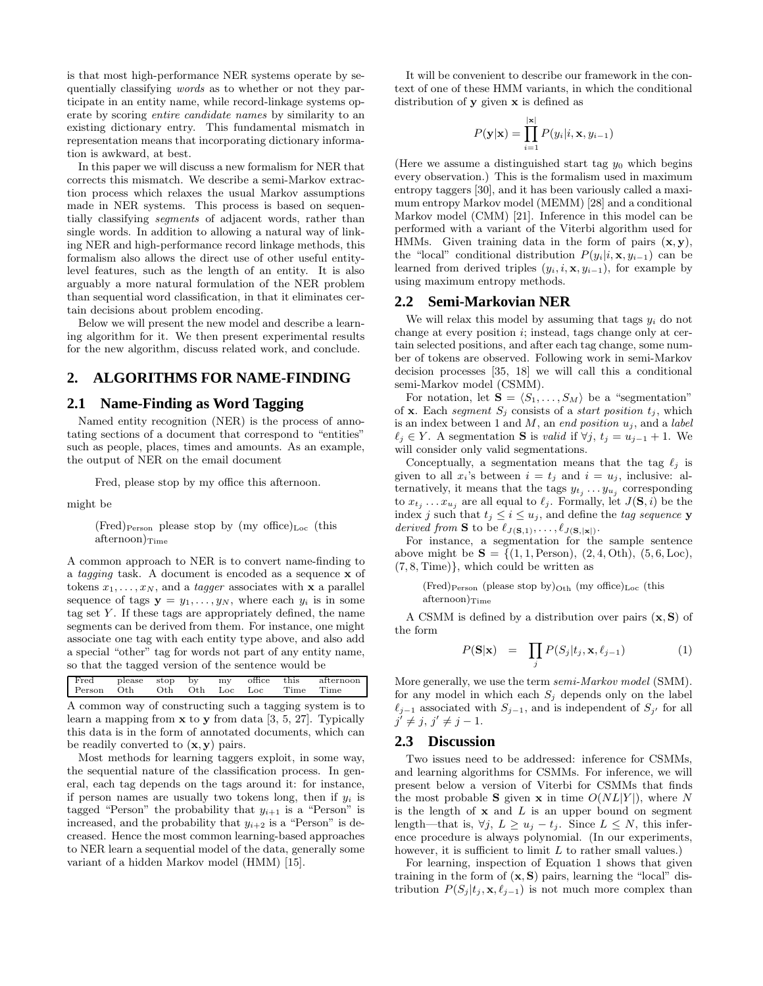is that most high-performance NER systems operate by sequentially classifying words as to whether or not they participate in an entity name, while record-linkage systems operate by scoring entire candidate names by similarity to an existing dictionary entry. This fundamental mismatch in representation means that incorporating dictionary information is awkward, at best.

In this paper we will discuss a new formalism for NER that corrects this mismatch. We describe a semi-Markov extraction process which relaxes the usual Markov assumptions made in NER systems. This process is based on sequentially classifying segments of adjacent words, rather than single words. In addition to allowing a natural way of linking NER and high-performance record linkage methods, this formalism also allows the direct use of other useful entitylevel features, such as the length of an entity. It is also arguably a more natural formulation of the NER problem than sequential word classification, in that it eliminates certain decisions about problem encoding.

Below we will present the new model and describe a learning algorithm for it. We then present experimental results for the new algorithm, discuss related work, and conclude.

# **2. ALGORITHMS FOR NAME-FINDING**

## **2.1 Name-Finding as Word Tagging**

Named entity recognition (NER) is the process of annotating sections of a document that correspond to "entities" such as people, places, times and amounts. As an example, the output of NER on the email document

Fred, please stop by my office this afternoon.

might be

 $(Fred)$ <sub>Person</sub> please stop by  $(my \; of\!fice)$ <sub>Loc</sub> (this  $after$ noon) $_{Time}$ 

A common approach to NER is to convert name-finding to a tagging task. A document is encoded as a sequence x of tokens  $x_1, \ldots, x_N$ , and a *tagger* associates with **x** a parallel sequence of tags  $y = y_1, \ldots, y_N$ , where each  $y_i$  is in some tag set  $Y$ . If these tags are appropriately defined, the name segments can be derived from them. For instance, one might associate one tag with each entity type above, and also add a special "other" tag for words not part of any entity name, so that the tagged version of the sentence would be

| Time Time<br>Person Oth Oth Oth Loc Loc | $\rm Fred$ | please stop by my |  |  |  |  |  | office this afternoon |
|-----------------------------------------|------------|-------------------|--|--|--|--|--|-----------------------|
|-----------------------------------------|------------|-------------------|--|--|--|--|--|-----------------------|

A common way of constructing such a tagging system is to learn a mapping from  $x$  to  $y$  from data [3, 5, 27]. Typically this data is in the form of annotated documents, which can be readily converted to  $(\mathbf{x}, \mathbf{y})$  pairs.

Most methods for learning taggers exploit, in some way, the sequential nature of the classification process. In general, each tag depends on the tags around it: for instance, if person names are usually two tokens long, then if  $y_i$  is tagged "Person" the probability that  $y_{i+1}$  is a "Person" is increased, and the probability that  $y_{i+2}$  is a "Person" is decreased. Hence the most common learning-based approaches to NER learn a sequential model of the data, generally some variant of a hidden Markov model (HMM) [15].

It will be convenient to describe our framework in the context of one of these HMM variants, in which the conditional distribution of y given x is defined as

$$
P(\mathbf{y}|\mathbf{x}) = \prod_{i=1}^{|\mathbf{x}|} P(y_i|i, \mathbf{x}, y_{i-1})
$$

(Here we assume a distinguished start tag  $y_0$  which begins every observation.) This is the formalism used in maximum entropy taggers [30], and it has been variously called a maximum entropy Markov model (MEMM) [28] and a conditional Markov model (CMM) [21]. Inference in this model can be performed with a variant of the Viterbi algorithm used for HMMs. Given training data in the form of pairs  $(x, y)$ , the "local" conditional distribution  $P(y_i|i, \mathbf{x}, y_{i-1})$  can be learned from derived triples  $(y_i, i, \mathbf{x}, y_{i-1})$ , for example by using maximum entropy methods.

#### **2.2 Semi-Markovian NER**

We will relax this model by assuming that tags  $y_i$  do not change at every position i; instead, tags change only at certain selected positions, and after each tag change, some number of tokens are observed. Following work in semi-Markov decision processes [35, 18] we will call this a conditional semi-Markov model (CSMM).

For notation, let  $S = \langle S_1, \ldots, S_M \rangle$  be a "segmentation" of **x**. Each segment  $S_j$  consists of a start position  $t_j$ , which is an index between 1 and  $M$ , an end position  $u_i$ , and a label  $\ell_j \in Y$ . A segmentation S is valid if  $\forall j, t_j = u_{j-1} + 1$ . We will consider only valid segmentations.

Conceptually, a segmentation means that the tag  $\ell_i$  is given to all  $x_i$ 's between  $i = t_j$  and  $i = u_j$ , inclusive: alternatively, it means that the tags  $y_{t_j} \dots y_{u_j}$  corresponding to  $x_{t_j} \dots x_{u_j}$  are all equal to  $\ell_j$ . Formally, let  $J(\mathbf{S}, i)$  be the index j such that  $t_i \leq i \leq u_i$ , and define the tag sequence y derived from **S** to be  $\ell_{J(\mathbf{S},1)}, \ldots, \ell_{J(\mathbf{S},|\mathbf{x}|)}.$ 

For instance, a segmentation for the sample sentence above might be  $S = \{(1, 1, Person), (2, 4, 0th), (5, 6, Loc),\}$  $(7, 8, Time)$ , which could be written as

 $(Fred)_{Person}$  (please stop by)<sub>Oth</sub> (my office)<sub>Loc</sub> (this  $after$ noon) $_{Time}$ 

A CSMM is defined by a distribution over pairs  $(x, S)$  of the form

$$
P(\mathbf{S}|\mathbf{x}) = \prod_{j} P(S_j|t_j, \mathbf{x}, \ell_{j-1}) \tag{1}
$$

More generally, we use the term semi-Markov model (SMM). for any model in which each  $S_i$  depends only on the label  $\ell_{j-1}$  associated with  $S_{j-1}$ , and is independent of  $S_{j'}$  for all  $j' \neq j, j' \neq j - 1.$ 

#### **2.3 Discussion**

Two issues need to be addressed: inference for CSMMs, and learning algorithms for CSMMs. For inference, we will present below a version of Viterbi for CSMMs that finds the most probable **S** given **x** in time  $O(NL|Y|)$ , where N is the length of  $x$  and  $L$  is an upper bound on segment length—that is,  $\forall j, L \geq u_j - t_j$ . Since  $L \leq N$ , this inference procedure is always polynomial. (In our experiments, however, it is sufficient to limit  $L$  to rather small values.)

For learning, inspection of Equation 1 shows that given training in the form of  $(x, S)$  pairs, learning the "local" distribution  $P(S_j | t_j, \mathbf{x}, \ell_{j-1})$  is not much more complex than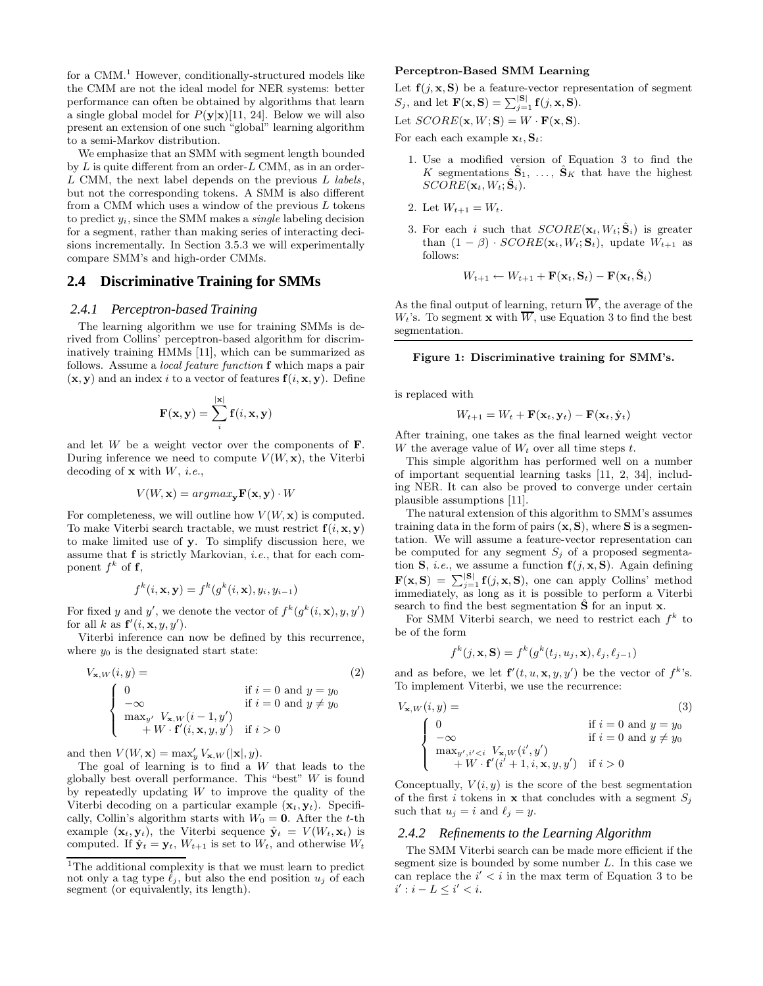for a  $CMM$ .<sup>1</sup> However, conditionally-structured models like the CMM are not the ideal model for NER systems: better performance can often be obtained by algorithms that learn a single global model for  $P(y|x)[11, 24]$ . Below we will also present an extension of one such "global" learning algorithm to a semi-Markov distribution.

We emphasize that an SMM with segment length bounded by  $L$  is quite different from an order- $L$  CMM, as in an order- $L$  CMM, the next label depends on the previous  $L$  labels, but not the corresponding tokens. A SMM is also different from a CMM which uses a window of the previous  $L$  tokens to predict  $y_i$ , since the SMM makes a *single* labeling decision for a segment, rather than making series of interacting decisions incrementally. In Section 3.5.3 we will experimentally compare SMM's and high-order CMMs.

## **2.4 Discriminative Training for SMMs**

## *2.4.1 Perceptron-based Training*

The learning algorithm we use for training SMMs is derived from Collins' perceptron-based algorithm for discriminatively training HMMs [11], which can be summarized as follows. Assume a *local feature function* f which maps a pair  $(x, y)$  and an index i to a vector of features  $f(i, x, y)$ . Define

$$
\mathbf{F}(\mathbf{x}, \mathbf{y}) = \sum_{i}^{|\mathbf{x}|} \mathbf{f}(i, \mathbf{x}, \mathbf{y})
$$

and let  $W$  be a weight vector over the components of  $\mathbf{F}$ . During inference we need to compute  $V(W, x)$ , the Viterbi decoding of  $x$  with  $W$ , *i.e.*,

$$
V(W, \mathbf{x}) = argmax_{\mathbf{y}} \mathbf{F}(\mathbf{x}, \mathbf{y}) \cdot W
$$

For completeness, we will outline how  $V(W, x)$  is computed. To make Viterbi search tractable, we must restrict  $f(i, x, y)$ to make limited use of y. To simplify discussion here, we assume that f is strictly Markovian, i.e., that for each component  $f^k$  of  $f$ ,

$$
f^{k}(i, \mathbf{x}, \mathbf{y}) = f^{k}(g^{k}(i, \mathbf{x}), y_{i}, y_{i-1})
$$

For fixed y and y', we denote the vector of  $f^k(g^k(i, \mathbf{x}), y, y')$ for all k as  $f'(i, x, y, y')$ .

Viterbi inference can now be defined by this recurrence, where  $y_0$  is the designated start state:

$$
V_{\mathbf{x},W}(i,y) =
$$
\n
$$
\begin{cases}\n0 & \text{if } i = 0 \text{ and } y = y_0 \\
-\infty & \text{if } i = 0 \text{ and } y \neq y_0 \\
\max_{y'} V_{\mathbf{x},W}(i-1,y') & \text{if } i > 0\n\end{cases}
$$
\n(2)

and then  $V(W, \mathbf{x}) = \max_{y}^{'} V_{\mathbf{x},W}(|\mathbf{x}|, y)$ .

The goal of learning is to find a  $W$  that leads to the globally best overall performance. This "best"  $W$  is found by repeatedly updating  $W$  to improve the quality of the Viterbi decoding on a particular example  $(\mathbf{x}_t, \mathbf{y}_t)$ . Specifically, Collin's algorithm starts with  $W_0 = 0$ . After the t-th example  $(\mathbf{x}_t, \mathbf{y}_t)$ , the Viterbi sequence  $\hat{\mathbf{y}}_t = V(W_t, \mathbf{x}_t)$  is computed. If  $\hat{\mathbf{y}}_t = \mathbf{y}_t$ ,  $W_{t+1}$  is set to  $W_t$ , and otherwise  $W_t$ 

#### Perceptron-Based SMM Learning

Let  $f(j, x, S)$  be a feature-vector representation of segment  $S_j$ , and let  $\mathbf{F}(\mathbf{x}, \mathbf{S}) = \sum_{j=1}^{|\mathbf{S}|} \mathbf{f}(j, \mathbf{x}, \mathbf{S}).$ 

Let  $SCORE(\mathbf{x}, W; \mathbf{S}) = W \cdot \mathbf{F}(\mathbf{x}, \mathbf{S}).$ 

For each each example  $\mathbf{x}_t, \mathbf{S}_t$ :

- 1. Use a modified version of Equation 3 to find the K segmentations  $\hat{\mathbf{S}}_1, \ldots, \hat{\mathbf{S}}_K$  that have the highest  $SCORE(\mathbf{x}_t, W_t; \hat{\mathbf{S}}_i).$
- 2. Let  $W_{t+1} = W_t$ .
- 3. For each i such that  $SCORE(\mathbf{x}_t, W_t; \mathbf{S}_i)$  is greater than  $(1 - \beta) \cdot SCORE(\mathbf{x}_t, W_t; \mathbf{S}_t)$ , update  $W_{t+1}$  as follows:

$$
W_{t+1} \leftarrow W_{t+1} + \mathbf{F}(\mathbf{x}_t, \mathbf{S}_t) - \mathbf{F}(\mathbf{x}_t, \hat{\mathbf{S}}_i)
$$

As the final output of learning, return  $\overline{W}$ , the average of the  $W_t$ 's. To segment **x** with  $\overline{W}$ , use Equation 3 to find the best segmentation.

#### Figure 1: Discriminative training for SMM's.

is replaced with

$$
W_{t+1} = W_t + \mathbf{F}(\mathbf{x}_t, \mathbf{y}_t) - \mathbf{F}(\mathbf{x}_t, \hat{\mathbf{y}}_t)
$$

After training, one takes as the final learned weight vector W the average value of  $W_t$  over all time steps  $t$ .

This simple algorithm has performed well on a number of important sequential learning tasks [11, 2, 34], including NER. It can also be proved to converge under certain plausible assumptions [11].

The natural extension of this algorithm to SMM's assumes training data in the form of pairs  $(x, S)$ , where S is a segmentation. We will assume a feature-vector representation can be computed for any segment  $S_j$  of a proposed segmentation S, *i.e.*, we assume a function  $f(j, x, S)$ . Again defining  $\mathbf{F}(\mathbf{x}, \mathbf{S}) = \sum_{j=1}^{|\mathbf{S}|} \mathbf{f}(j, \mathbf{x}, \mathbf{S})$ , one can apply Collins' method immediately, as long as it is possible to perform a Viterbi search to find the best segmentation  $\tilde{S}$  for an input  $x$ .

For SMM Viterbi search, we need to restrict each  $f^k$  to be of the form

$$
f^k(j, \mathbf{x}, \mathbf{S}) = f^k(g^k(t_j, u_j, \mathbf{x}), \ell_j, \ell_{j-1})
$$

and as before, we let  $f'(t, u, x, y, y')$  be the vector of  $f^k$ 's. To implement Viterbi, we use the recurrence:

$$
V_{\mathbf{x},W}(i,y) = \n\begin{cases}\n0 & \text{if } i = 0 \text{ and } y = y_0 \\
-\infty & \text{if } i = 0 \text{ and } y \neq y_0 \\
\max_{y', i' < i} V_{\mathbf{x},W}(i', y') \\
+W \cdot \mathbf{f}'(i' + 1, i, \mathbf{x}, y, y') & \text{if } i > 0\n\end{cases}
$$
\n(3)

Conceptually,  $V(i, y)$  is the score of the best segmentation of the first i tokens in **x** that concludes with a segment  $S_i$ such that  $u_j = i$  and  $\ell_j = y$ .

## *2.4.2 Refinements to the Learning Algorithm*

The SMM Viterbi search can be made more efficient if the segment size is bounded by some number  $L$ . In this case we can replace the  $i' < i$  in the max term of Equation 3 to be  $i' : i - L \leq i' < i.$ 

<sup>&</sup>lt;sup>1</sup>The additional complexity is that we must learn to predict not only a tag type  $\ell_i$ , but also the end position  $u_i$  of each segment (or equivalently, its length).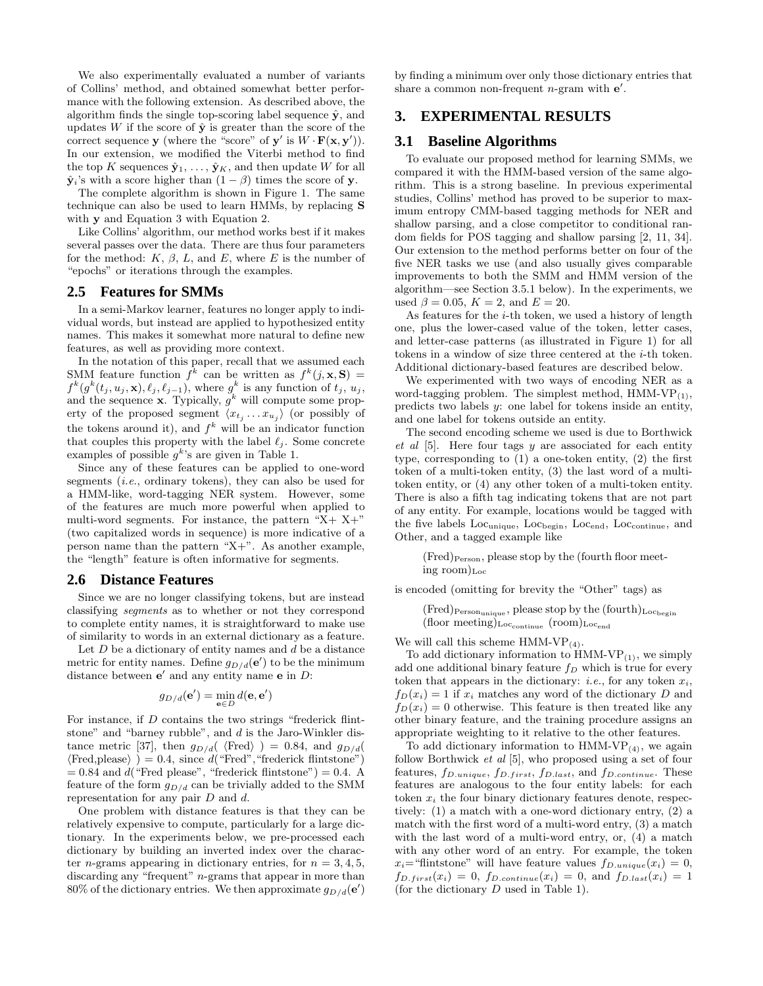We also experimentally evaluated a number of variants of Collins' method, and obtained somewhat better performance with the following extension. As described above, the algorithm finds the single top-scoring label sequence  $\hat{y}$ , and updates W if the score of  $\hat{y}$  is greater than the score of the correct sequence **y** (where the "score" of  $y'$  is  $W \cdot \mathbf{F}(\mathbf{x}, y')$ ). In our extension, we modified the Viterbi method to find the top K sequences  $\hat{\mathbf{y}}_1, \ldots, \hat{\mathbf{y}}_K$ , and then update W for all  $\hat{\mathbf{y}}_i$ 's with a score higher than  $(1 - \beta)$  times the score of y.

The complete algorithm is shown in Figure 1. The same technique can also be used to learn HMMs, by replacing S with y and Equation 3 with Equation 2.

Like Collins' algorithm, our method works best if it makes several passes over the data. There are thus four parameters for the method:  $K$ ,  $\beta$ ,  $L$ , and  $E$ , where  $E$  is the number of "epochs" or iterations through the examples.

#### **2.5 Features for SMMs**

In a semi-Markov learner, features no longer apply to individual words, but instead are applied to hypothesized entity names. This makes it somewhat more natural to define new features, as well as providing more context.

In the notation of this paper, recall that we assumed each SMM feature function  $f^k$  can be written as  $f^k(j, \mathbf{x}, \mathbf{S}) =$  $f^k(g^k(t_j, u_j, \mathbf{x}), \ell_j, \ell_{j-1}),$  where  $g^k$  is any function of  $t_j, u_j,$ and the sequence **x**. Typically,  $g^k$  will compute some property of the proposed segment  $\langle x_{t_j} \dots x_{u_j} \rangle$  (or possibly of the tokens around it), and  $f^k$  will be an indicator function that couples this property with the label  $\ell_i$ . Some concrete examples of possible  $g^k$ 's are given in Table 1.

Since any of these features can be applied to one-word segments *(i.e., ordinary tokens)*, they can also be used for a HMM-like, word-tagging NER system. However, some of the features are much more powerful when applied to multi-word segments. For instance, the pattern " $X + X +$ " (two capitalized words in sequence) is more indicative of a person name than the pattern " $X+$ ". As another example, the "length" feature is often informative for segments.

#### **2.6 Distance Features**

Since we are no longer classifying tokens, but are instead classifying segments as to whether or not they correspond to complete entity names, it is straightforward to make use of similarity to words in an external dictionary as a feature.

Let  $D$  be a dictionary of entity names and  $d$  be a distance metric for entity names. Define  $g_{D/d}(\mathbf{e}')$  to be the minimum distance between  $e'$  and any entity name  $e$  in  $D$ :

$$
g_{D/d}(\mathbf{e}') = \min_{\mathbf{e} \in D} d(\mathbf{e}, \mathbf{e}')
$$

For instance, if D contains the two strings "frederick flintstone" and "barney rubble", and  $d$  is the Jaro-Winkler distance metric [37], then  $g_{D/d}$ ( $\langle$ Fred $\rangle$ ) = 0.84, and  $g_{D/d}$ (  $\langle$ Fred,please $\rangle$  ) = 0.4, since d("Fred", "frederick flintstone")  $= 0.84$  and d("Fred please", "frederick flintstone") = 0.4. A feature of the form  $g_{D/d}$  can be trivially added to the SMM representation for any pair  $D$  and  $d$ .

One problem with distance features is that they can be relatively expensive to compute, particularly for a large dictionary. In the experiments below, we pre-processed each dictionary by building an inverted index over the character *n*-grams appearing in dictionary entries, for  $n = 3, 4, 5$ , discarding any "frequent" *n*-grams that appear in more than 80% of the dictionary entries. We then approximate  $g_{D/d}(\mathbf{e}^t)$ 

by finding a minimum over only those dictionary entries that share a common non-frequent *n*-gram with  $e'$ .

# **3. EXPERIMENTAL RESULTS**

## **3.1 Baseline Algorithms**

To evaluate our proposed method for learning SMMs, we compared it with the HMM-based version of the same algorithm. This is a strong baseline. In previous experimental studies, Collins' method has proved to be superior to maximum entropy CMM-based tagging methods for NER and shallow parsing, and a close competitor to conditional random fields for POS tagging and shallow parsing [2, 11, 34]. Our extension to the method performs better on four of the five NER tasks we use (and also usually gives comparable improvements to both the SMM and HMM version of the algorithm—see Section 3.5.1 below). In the experiments, we used  $\beta = 0.05, K = 2, \text{ and } E = 20.$ 

As features for the  $i$ -th token, we used a history of length one, plus the lower-cased value of the token, letter cases, and letter-case patterns (as illustrated in Figure 1) for all tokens in a window of size three centered at the  $i$ -th token. Additional dictionary-based features are described below.

We experimented with two ways of encoding NER as a word-tagging problem. The simplest method,  $HMM-VP_{(1)}$ , predicts two labels y: one label for tokens inside an entity, and one label for tokens outside an entity.

The second encoding scheme we used is due to Borthwick  $et \ al \ [5]$ . Here four tags y are associated for each entity type, corresponding to (1) a one-token entity, (2) the first token of a multi-token entity, (3) the last word of a multitoken entity, or (4) any other token of a multi-token entity. There is also a fifth tag indicating tokens that are not part of any entity. For example, locations would be tagged with the five labels Loc<sub>unique</sub>, Loc<sub>begin</sub>, Loc<sub>end</sub>, Loc<sub>continue</sub>, and Other, and a tagged example like

 $(Fred)_{Person}$ , please stop by the (fourth floor meeting room)Loc

is encoded (omitting for brevity the "Other" tags) as

 $(Fred)$ <sub>Person<sub>unique</sub>, please stop by the  $(fourth)$ <sub>Loc<sub>begin</sub></sub></sub> (floor meeting) $_{\text{Loc}_{\text{continue}}}$  (room) $_{\text{Loc}_{\text{end}}}$ 

We will call this scheme  $HMM-VP_{(4)}$ .

To add dictionary information to  $HMM-VP_{(1)}$ , we simply add one additional binary feature  $f_D$  which is true for every token that appears in the dictionary: *i.e.*, for any token  $x_i$ ,  $f_D(x_i) = 1$  if  $x_i$  matches any word of the dictionary D and  $f_D(x_i) = 0$  otherwise. This feature is then treated like any other binary feature, and the training procedure assigns an appropriate weighting to it relative to the other features.

To add dictionary information to  $HMM-VP_{(4)}$ , we again follow Borthwick et al [5], who proposed using a set of four features,  $f_{D.\text{unique}}$ ,  $f_{D.\text{first}}$ ,  $f_{D.\text{last}}$ , and  $f_{D.\text{continue}}$ . These features are analogous to the four entity labels: for each token  $x_i$  the four binary dictionary features denote, respectively: (1) a match with a one-word dictionary entry, (2) a match with the first word of a multi-word entry, (3) a match with the last word of a multi-word entry, or, (4) a match with any other word of an entry. For example, the token  $x_i$ ="flintstone" will have feature values  $f_{D.unique}(x_i) = 0$ ,  $f_{D.first}(x_i) = 0$ ,  $f_{D.continue}(x_i) = 0$ , and  $f_{D.last}(x_i) = 1$ (for the dictionary D used in Table 1).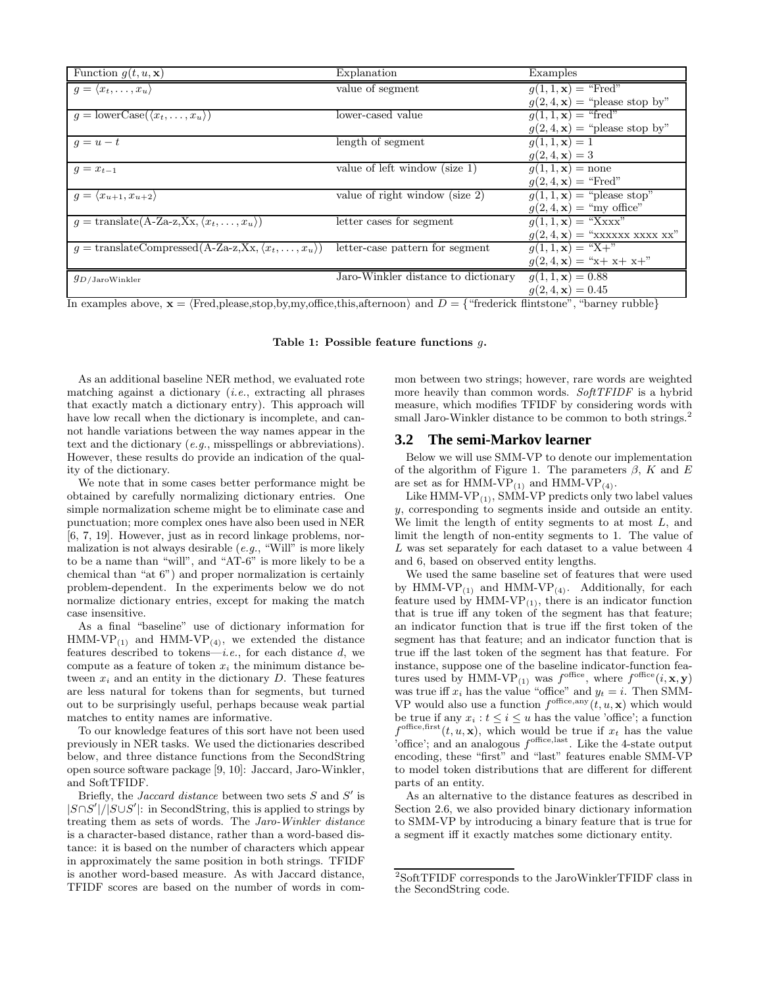| Function $g(t, u, \mathbf{x})$                                                | Explanation                         | Examples                                   |
|-------------------------------------------------------------------------------|-------------------------------------|--------------------------------------------|
| $g = \langle x_t, \ldots, x_u \rangle$                                        | value of segment                    | $q(1, 1, \mathbf{x}) =$ "Fred"             |
|                                                                               |                                     | $q(2,4,\mathbf{x})$ = "please stop by"     |
| $q = \text{lowerCase}(\langle x_t, \ldots, x_u \rangle)$                      | lower-cased value                   | $q(1, 1, x) = "fred"$                      |
|                                                                               |                                     | $g(2,4,\mathbf{x})$ = "please stop by"     |
| $q = u - t$                                                                   | length of segment                   | $q(1,1,\mathbf{x})=1$                      |
|                                                                               |                                     | $g(2, 4, x) = 3$                           |
| $q = x_{t-1}$                                                                 | value of left window (size 1)       | $g(1, 1, \mathbf{x}) = \text{none}$        |
|                                                                               |                                     | $g(2,4,\mathbf{x}) =$ "Fred"               |
| $q = \langle x_{u+1}, x_{u+2} \rangle$                                        | value of right window (size 2)      | $g(1, 1, \mathbf{x})$ = "please stop"      |
|                                                                               |                                     | $g(2,4,\mathbf{x}) = \text{``my office''}$ |
| $g = \text{translate}(A-Za-z, Xx, \langle x_t, \ldots, x_u \rangle)$          | letter cases for segment            | $g(1,1,\mathbf{x}) = "Xxxxx"$              |
|                                                                               |                                     | $g(2,4,\mathbf{x}) =$ "xxxxxx xxxx xx"     |
| $q = \text{translateCompressed}(A-Za-z,Xx, \langle x_t, \ldots, x_u \rangle)$ | letter-case pattern for segment     | $q(1, 1, \mathbf{x}) = "X +"$              |
|                                                                               |                                     | $g(2,4, \mathbf{x}) = "x+ x+ x+"$          |
| $g_{D/\text{JaroWinkler}}$                                                    | Jaro-Winkler distance to dictionary | $q(1, 1, \mathbf{x}) = 0.88$               |
|                                                                               |                                     | $q(2,4, \mathbf{x}) = 0.45$                |

In examples above,  $\mathbf{x} = \langle$  Fred,please,stop,by,my,office,this,afternoon) and  $\overline{D} = \{\text{``frederick flintstone''}, \text{``barney rubble}\}\$ 

Table 1: Possible feature functions  $q$ .

As an additional baseline NER method, we evaluated rote matching against a dictionary (i.e., extracting all phrases that exactly match a dictionary entry). This approach will have low recall when the dictionary is incomplete, and cannot handle variations between the way names appear in the text and the dictionary (e.g., misspellings or abbreviations). However, these results do provide an indication of the quality of the dictionary.

We note that in some cases better performance might be obtained by carefully normalizing dictionary entries. One simple normalization scheme might be to eliminate case and punctuation; more complex ones have also been used in NER [6, 7, 19]. However, just as in record linkage problems, normalization is not always desirable  $(e.g., "Will"$  is more likely to be a name than "will", and "AT-6" is more likely to be a chemical than "at 6") and proper normalization is certainly problem-dependent. In the experiments below we do not normalize dictionary entries, except for making the match case insensitive.

As a final "baseline" use of dictionary information for HMM-VP<sub>(1)</sub> and HMM-VP<sub>(4)</sub>, we extended the distance features described to tokens—i.e., for each distance  $d$ , we compute as a feature of token  $x_i$  the minimum distance between  $x_i$  and an entity in the dictionary  $D$ . These features are less natural for tokens than for segments, but turned out to be surprisingly useful, perhaps because weak partial matches to entity names are informative.

To our knowledge features of this sort have not been used previously in NER tasks. We used the dictionaries described below, and three distance functions from the SecondString open source software package [9, 10]: Jaccard, Jaro-Winkler, and SoftTFIDF.

Briefly, the *Jaccard distance* between two sets  $S$  and  $S'$  is  $|S \cap S'|/|S \cup S'|$ : in SecondString, this is applied to strings by treating them as sets of words. The Jaro-Winkler distance is a character-based distance, rather than a word-based distance: it is based on the number of characters which appear in approximately the same position in both strings. TFIDF is another word-based measure. As with Jaccard distance, TFIDF scores are based on the number of words in common between two strings; however, rare words are weighted more heavily than common words. SoftTFIDF is a hybrid measure, which modifies TFIDF by considering words with small Jaro-Winkler distance to be common to both strings.<sup>2</sup>

#### **3.2 The semi-Markov learner**

Below we will use SMM-VP to denote our implementation of the algorithm of Figure 1. The parameters  $\beta$ , K and E are set as for HMM-VP $_{(1)}$  and HMM-VP $_{(4)}$ .

Like  $HMM-VP_{(1)}$ , SMM-VP predicts only two label values y, corresponding to segments inside and outside an entity. We limit the length of entity segments to at most  $L$ , and limit the length of non-entity segments to 1. The value of L was set separately for each dataset to a value between 4 and 6, based on observed entity lengths.

We used the same baseline set of features that were used by HMM-VP $_{(1)}$  and HMM-VP $_{(4)}$ . Additionally, for each feature used by  $HMM-VP_{(1)}$ , there is an indicator function that is true iff any token of the segment has that feature; an indicator function that is true iff the first token of the segment has that feature; and an indicator function that is true iff the last token of the segment has that feature. For instance, suppose one of the baseline indicator-function features used by HMM-VP<sub>(1)</sub> was  $f^{\text{office}}$ , where  $f^{\text{office}}(i, \mathbf{x}, \mathbf{y})$ was true iff  $x_i$  has the value "office" and  $y_t = i$ . Then SMM-VP would also use a function  $f^{\text{office, any}}(t, u, \mathbf{x})$  which would be true if any  $x_i : t \leq i \leq u$  has the value 'office'; a function  $f<sup>office, first</sup>(t, u, x)$ , which would be true if  $x_t$  has the value 'office'; and an analogous  $f^{\text{office},\text{last}}$ . Like the 4-state output encoding, these "first" and "last" features enable SMM-VP to model token distributions that are different for different parts of an entity.

As an alternative to the distance features as described in Section 2.6, we also provided binary dictionary information to SMM-VP by introducing a binary feature that is true for a segment iff it exactly matches some dictionary entity.

<sup>2</sup>SoftTFIDF corresponds to the JaroWinklerTFIDF class in the SecondString code.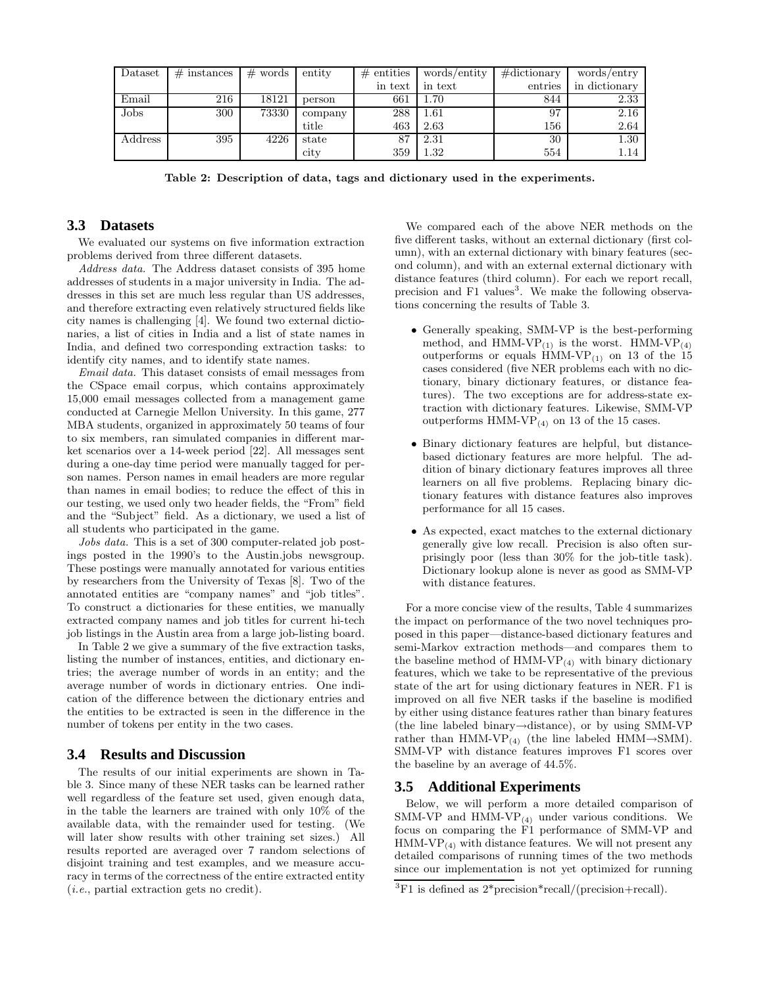| Dataset | $\#$ instances | $#$ words | entity  | $#$ entities | words/entity | $\#$ dictionary | words/entry   |
|---------|----------------|-----------|---------|--------------|--------------|-----------------|---------------|
|         |                |           |         | in text      | in text      | entries         | in dictionary |
| Email   | 216            | 18121     | person  | 661          | 1.70         | 844             | 2.33          |
| Jobs    | 300            | 73330     | company | 288          | 1.61         | 97              | 2.16          |
|         |                |           | title   | 463          | 2.63         | 156             | 2.64          |
| Address | 395            | 4226      | state   | 87           | 2.31         | 30              | 1.30          |
|         |                |           | city    | 359          | 1.32         | 554             | 1.14          |

Table 2: Description of data, tags and dictionary used in the experiments.

## **3.3 Datasets**

We evaluated our systems on five information extraction problems derived from three different datasets.

Address data. The Address dataset consists of 395 home addresses of students in a major university in India. The addresses in this set are much less regular than US addresses, and therefore extracting even relatively structured fields like city names is challenging [4]. We found two external dictionaries, a list of cities in India and a list of state names in India, and defined two corresponding extraction tasks: to identify city names, and to identify state names.

Email data. This dataset consists of email messages from the CSpace email corpus, which contains approximately 15,000 email messages collected from a management game conducted at Carnegie Mellon University. In this game, 277 MBA students, organized in approximately 50 teams of four to six members, ran simulated companies in different market scenarios over a 14-week period [22]. All messages sent during a one-day time period were manually tagged for person names. Person names in email headers are more regular than names in email bodies; to reduce the effect of this in our testing, we used only two header fields, the "From" field and the "Subject" field. As a dictionary, we used a list of all students who participated in the game.

Jobs data. This is a set of 300 computer-related job postings posted in the 1990's to the Austin.jobs newsgroup. These postings were manually annotated for various entities by researchers from the University of Texas [8]. Two of the annotated entities are "company names" and "job titles". To construct a dictionaries for these entities, we manually extracted company names and job titles for current hi-tech job listings in the Austin area from a large job-listing board.

In Table 2 we give a summary of the five extraction tasks, listing the number of instances, entities, and dictionary entries; the average number of words in an entity; and the average number of words in dictionary entries. One indication of the difference between the dictionary entries and the entities to be extracted is seen in the difference in the number of tokens per entity in the two cases.

#### **3.4 Results and Discussion**

The results of our initial experiments are shown in Table 3. Since many of these NER tasks can be learned rather well regardless of the feature set used, given enough data, in the table the learners are trained with only 10% of the available data, with the remainder used for testing. (We will later show results with other training set sizes.) All results reported are averaged over 7 random selections of disjoint training and test examples, and we measure accuracy in terms of the correctness of the entire extracted entity (i.e., partial extraction gets no credit).

We compared each of the above NER methods on the five different tasks, without an external dictionary (first column), with an external dictionary with binary features (second column), and with an external external dictionary with distance features (third column). For each we report recall, precision and F1 values<sup>3</sup>. We make the following observations concerning the results of Table 3.

- Generally speaking, SMM-VP is the best-performing method, and HMM-VP $_{(1)}$  is the worst. HMM-VP $_{(4)}$ outperforms or equals  $\text{HMM-VP}_{(1)}$  on 13 of the 15 cases considered (five NER problems each with no dictionary, binary dictionary features, or distance features). The two exceptions are for address-state extraction with dictionary features. Likewise, SMM-VP outperforms HMM-VP $_{(4)}$  on 13 of the 15 cases.
- Binary dictionary features are helpful, but distancebased dictionary features are more helpful. The addition of binary dictionary features improves all three learners on all five problems. Replacing binary dictionary features with distance features also improves performance for all 15 cases.
- As expected, exact matches to the external dictionary generally give low recall. Precision is also often surprisingly poor (less than 30% for the job-title task). Dictionary lookup alone is never as good as SMM-VP with distance features.

For a more concise view of the results, Table 4 summarizes the impact on performance of the two novel techniques proposed in this paper—distance-based dictionary features and semi-Markov extraction methods—and compares them to the baseline method of HMM-VP $_{(4)}$  with binary dictionary features, which we take to be representative of the previous state of the art for using dictionary features in NER. F1 is improved on all five NER tasks if the baseline is modified by either using distance features rather than binary features (the line labeled binary→distance), or by using SMM-VP rather than HMM-VP<sub>(4)</sub> (the line labeled HMM $\rightarrow$ SMM). SMM-VP with distance features improves F1 scores over the baseline by an average of 44.5%.

#### **3.5 Additional Experiments**

Below, we will perform a more detailed comparison of SMM-VP and HMM-VP $_{(4)}$  under various conditions. We focus on comparing the F1 performance of SMM-VP and  $HMM-VP_{(4)}$  with distance features. We will not present any detailed comparisons of running times of the two methods since our implementation is not yet optimized for running

 ${}^{3}F1$  is defined as  $2*$ precision $*$ recall/(precision+recall).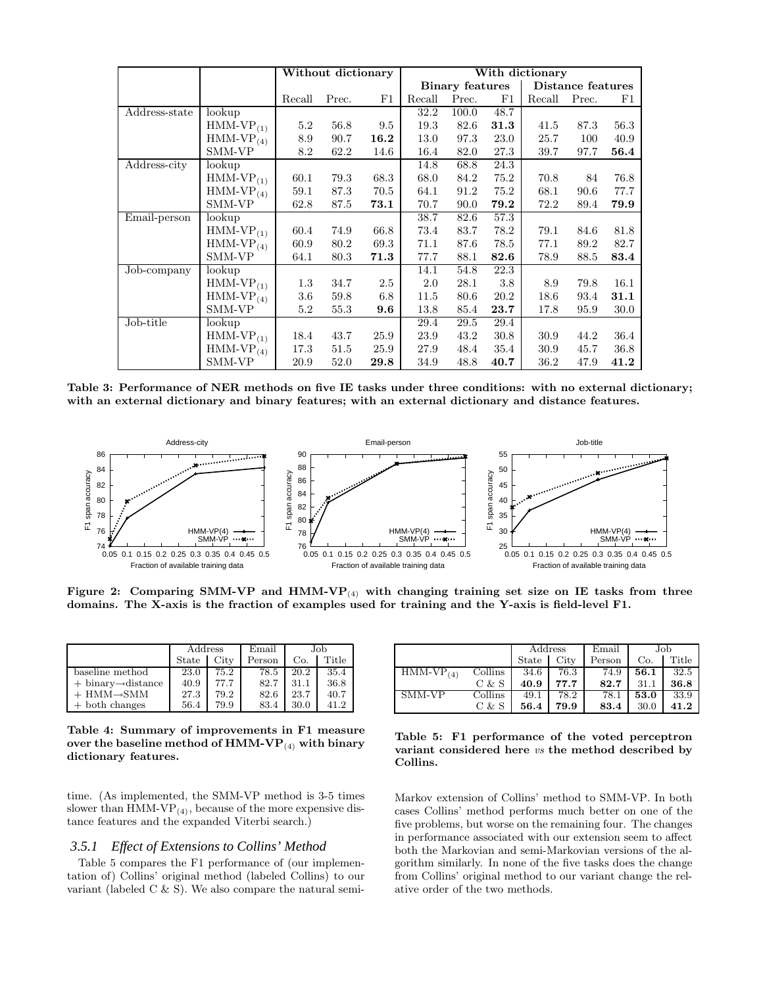|               |                |         | Without dictionary |      |        |                        |      | With dictionary |                   |             |
|---------------|----------------|---------|--------------------|------|--------|------------------------|------|-----------------|-------------------|-------------|
|               |                |         |                    |      |        | <b>Binary features</b> |      |                 | Distance features |             |
|               |                | Recall  | Prec.              | F1   | Recall | Prec.                  | F1   | Recall          | Prec.             | $_{\rm F1}$ |
| Address-state | lookup         |         |                    |      | 32.2   | 100.0                  | 48.7 |                 |                   |             |
|               | $HMM-VP_{(1)}$ | 5.2     | 56.8               | 9.5  | 19.3   | 82.6                   | 31.3 | 41.5            | 87.3              | 56.3        |
|               | $HMM-VP_{(4)}$ | 8.9     | 90.7               | 16.2 | 13.0   | 97.3                   | 23.0 | 25.7            | 100               | 40.9        |
|               | SMM-VP         | 8.2     | 62.2               | 14.6 | 16.4   | 82.0                   | 27.3 | 39.7            | 97.7              | 56.4        |
| Address-city  | lookup         |         |                    |      | 14.8   | 68.8                   | 24.3 |                 |                   |             |
|               | $HMM-VP_{(1)}$ | 60.1    | 79.3               | 68.3 | 68.0   | 84.2                   | 75.2 | 70.8            | 84                | 76.8        |
|               | $HMM-VP_{(4)}$ | 59.1    | 87.3               | 70.5 | 64.1   | 91.2                   | 75.2 | 68.1            | 90.6              | 77.7        |
|               | SMM-VP         | 62.8    | 87.5               | 73.1 | 70.7   | 90.0                   | 79.2 | 72.2            | 89.4              | 79.9        |
| Email-person  | lookup         |         |                    |      | 38.7   | 82.6                   | 57.3 |                 |                   |             |
|               | $HMM-VP_{(1)}$ | 60.4    | 74.9               | 66.8 | 73.4   | 83.7                   | 78.2 | 79.1            | 84.6              | 81.8        |
|               | $HMM-VP_{(4)}$ | 60.9    | 80.2               | 69.3 | 71.1   | 87.6                   | 78.5 | 77.1            | 89.2              | 82.7        |
|               | SMM-VP         | 64.1    | 80.3               | 71.3 | 77.7   | 88.1                   | 82.6 | 78.9            | 88.5              | 83.4        |
| Job-company   | lookup         |         |                    |      | 14.1   | 54.8                   | 22.3 |                 |                   |             |
|               | $HMM-VP_{(1)}$ | $1.3\,$ | 34.7               | 2.5  | 2.0    | 28.1                   | 3.8  | 8.9             | 79.8              | 16.1        |
|               | $HMM-VP_{(4)}$ | 3.6     | 59.8               | 6.8  | 11.5   | 80.6                   | 20.2 | 18.6            | 93.4              | 31.1        |
|               | SMM-VP         | 5.2     | 55.3               | 9.6  | 13.8   | 85.4                   | 23.7 | 17.8            | 95.9              | 30.0        |
| Job-title     | lookup         |         |                    |      | 29.4   | 29.5                   | 29.4 |                 |                   |             |
|               | $HMM-VP_{(1)}$ | 18.4    | 43.7               | 25.9 | 23.9   | 43.2                   | 30.8 | 30.9            | 44.2              | 36.4        |
|               | $HMM-VP_{(4)}$ | 17.3    | 51.5               | 25.9 | 27.9   | 48.4                   | 35.4 | 30.9            | 45.7              | 36.8        |
|               | SMM-VP         | 20.9    | 52.0               | 29.8 | 34.9   | 48.8                   | 40.7 | 36.2            | 47.9              | 41.2        |

Table 3: Performance of NER methods on five IE tasks under three conditions: with no external dictionary; with an external dictionary and binary features; with an external dictionary and distance features.



Figure 2: Comparing SMM-VP and  $HMM-VP_{(4)}$  with changing training set size on IE tasks from three domains. The X-axis is the fraction of examples used for training and the Y-axis is field-level F1.

|                                                | Address |      | Email  | .Job |       |
|------------------------------------------------|---------|------|--------|------|-------|
|                                                | State   | City | Person | Co.  | Title |
| baseline method                                | 23.0    | 75.2 | 78.5   | 20.2 | 35.4  |
| $+ \text{ binary} \rightarrow \text{distance}$ | 40.9    | 77.7 | 82.7   | 31.1 | 36.8  |
| $+$ HMM $\rightarrow$ SMM                      | 27.3    | 79.2 | 82.6   | 23.7 | 40.7  |
| $+$ both changes                               | 56.4    | 79.9 | 83.4   | 30.0 | 41.2  |

Table 4: Summary of improvements in F1 measure over the baseline method of HMM-VP $_{(4)}$  with binary dictionary features.

time. (As implemented, the SMM-VP method is 3-5 times slower than HMM-VP $_{(4)}$ , because of the more expensive distance features and the expanded Viterbi search.)

#### *3.5.1 Effect of Extensions to Collins' Method*

Table 5 compares the F1 performance of (our implementation of) Collins' original method (labeled Collins) to our variant (labeled C & S). We also compare the natural semi-

|                                  |         | Address |      | Email  | Job  |       |
|----------------------------------|---------|---------|------|--------|------|-------|
|                                  |         | State   | City | Person | Co.  | Title |
| $\overline{\text{HMM-VP}}_{(4)}$ | Collins | 34.6    | 76.3 | 74.9   | 56.1 | 32.5  |
|                                  | C & S   | 40.9    | 77.7 | 82.7   | 31.1 | 36.8  |
| SMM-VP                           | Collins | 49.1    | 78.2 | 78.1   | 53.0 | 33.9  |
|                                  | C & S   | 56.4    | 79.9 | 83.4   | 30.0 | 41.2  |

|          | Table 5: F1 performance of the voted perceptron      |  |
|----------|------------------------------------------------------|--|
|          | variant considered here $vs$ the method described by |  |
| Collins. |                                                      |  |

Markov extension of Collins' method to SMM-VP. In both cases Collins' method performs much better on one of the five problems, but worse on the remaining four. The changes in performance associated with our extension seem to affect both the Markovian and semi-Markovian versions of the algorithm similarly. In none of the five tasks does the change from Collins' original method to our variant change the relative order of the two methods.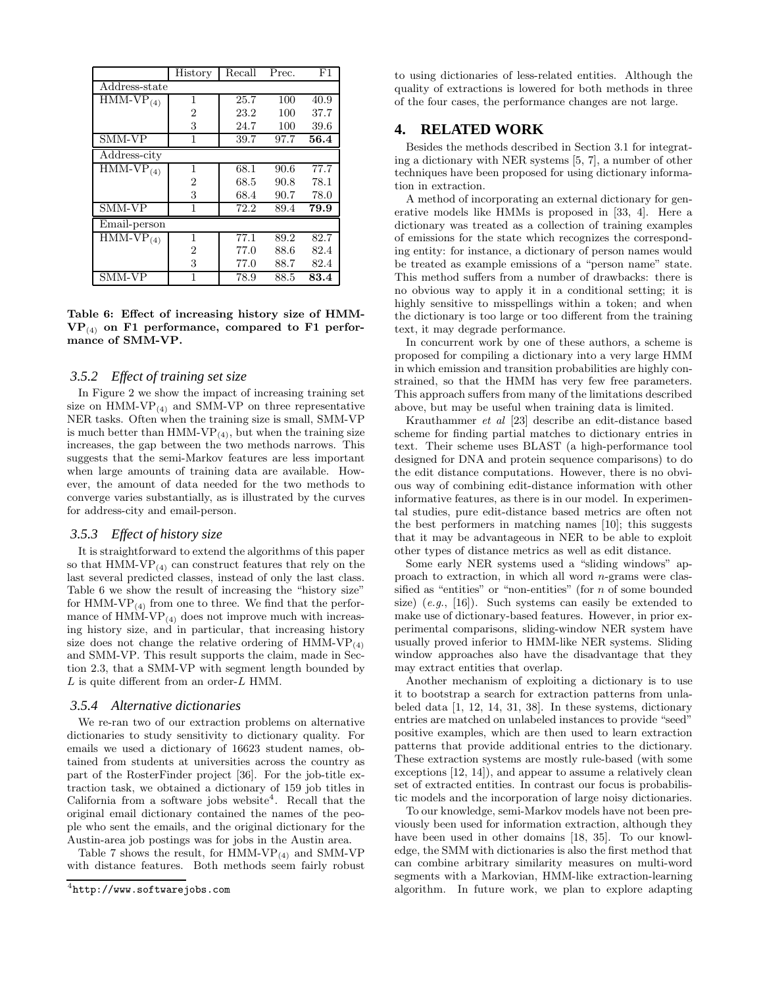|                                            | History        | Recall | Prec. | F1   |
|--------------------------------------------|----------------|--------|-------|------|
| Address-state                              |                |        |       |      |
| $\overline{\text{HMM}}$ -VP <sub>(4)</sub> | 1              | 25.7   | 100   | 40.9 |
|                                            | $\overline{2}$ | 23.2   | 100   | 37.7 |
|                                            | 3              | 24.7   | 100   | 39.6 |
| $\overline{\text{SMM}}$ -VP                | 1              | 39.7   | 97.7  | 56.4 |
| Address-city                               |                |        |       |      |
| $\overline{\text{HMM}}$ -VP <sub>(4)</sub> | 1              | 68.1   | 90.6  | 77.7 |
|                                            | $\overline{2}$ | 68.5   | 90.8  | 78.1 |
|                                            | 3              | 68.4   | 90.7  | 78.0 |
| SMM-VP                                     | 1              | 72.2   | 89.4  | 79.9 |
| Email-person                               |                |        |       |      |
| $\overline{\text{HMM}}$ -VP <sub>(4)</sub> | 1              | 77.1   | 89.2  | 82.7 |
|                                            | 2              | 77.0   | 88.6  | 82.4 |
|                                            | 3              | 77.0   | 88.7  | 82.4 |
| $\overline{\text{SMM}}$ -VP                | 1              | 78.9   | 88.5  | 83.4 |

Table 6: Effect of increasing history size of HMM- $VP_{(4)}$  on F1 performance, compared to F1 performance of SMM-VP.

#### *3.5.2 Effect of training set size*

In Figure 2 we show the impact of increasing training set size on HMM-VP $_{(4)}$  and SMM-VP on three representative NER tasks. Often when the training size is small, SMM-VP is much better than  $HMM-VP_{(4)}$ , but when the training size increases, the gap between the two methods narrows. This suggests that the semi-Markov features are less important when large amounts of training data are available. However, the amount of data needed for the two methods to converge varies substantially, as is illustrated by the curves for address-city and email-person.

## *3.5.3 Effect of history size*

It is straightforward to extend the algorithms of this paper so that HMM-VP $_{(4)}$  can construct features that rely on the last several predicted classes, instead of only the last class. Table 6 we show the result of increasing the "history size" for HMM-VP $_{(4)}$  from one to three. We find that the performance of  $HMM-VP_{(4)}$  does not improve much with increasing history size, and in particular, that increasing history size does not change the relative ordering of HMM-VP $_{(4)}$ and SMM-VP. This result supports the claim, made in Section 2.3, that a SMM-VP with segment length bounded by L is quite different from an order-L HMM.

#### *3.5.4 Alternative dictionaries*

We re-ran two of our extraction problems on alternative dictionaries to study sensitivity to dictionary quality. For emails we used a dictionary of 16623 student names, obtained from students at universities across the country as part of the RosterFinder project [36]. For the job-title extraction task, we obtained a dictionary of 159 job titles in California from a software jobs website<sup>4</sup>. Recall that the original email dictionary contained the names of the people who sent the emails, and the original dictionary for the Austin-area job postings was for jobs in the Austin area.

Table 7 shows the result, for HMM-VP $_{(4)}$  and SMM-VP with distance features. Both methods seem fairly robust to using dictionaries of less-related entities. Although the quality of extractions is lowered for both methods in three of the four cases, the performance changes are not large.

# **4. RELATED WORK**

Besides the methods described in Section 3.1 for integrating a dictionary with NER systems [5, 7], a number of other techniques have been proposed for using dictionary information in extraction.

A method of incorporating an external dictionary for generative models like HMMs is proposed in [33, 4]. Here a dictionary was treated as a collection of training examples of emissions for the state which recognizes the corresponding entity: for instance, a dictionary of person names would be treated as example emissions of a "person name" state. This method suffers from a number of drawbacks: there is no obvious way to apply it in a conditional setting; it is highly sensitive to misspellings within a token; and when the dictionary is too large or too different from the training text, it may degrade performance.

In concurrent work by one of these authors, a scheme is proposed for compiling a dictionary into a very large HMM in which emission and transition probabilities are highly constrained, so that the HMM has very few free parameters. This approach suffers from many of the limitations described above, but may be useful when training data is limited.

Krauthammer et al [23] describe an edit-distance based scheme for finding partial matches to dictionary entries in text. Their scheme uses BLAST (a high-performance tool designed for DNA and protein sequence comparisons) to do the edit distance computations. However, there is no obvious way of combining edit-distance information with other informative features, as there is in our model. In experimental studies, pure edit-distance based metrics are often not the best performers in matching names [10]; this suggests that it may be advantageous in NER to be able to exploit other types of distance metrics as well as edit distance.

Some early NER systems used a "sliding windows" approach to extraction, in which all word n-grams were classified as "entities" or "non-entities" (for n of some bounded size) (e.g., [16]). Such systems can easily be extended to make use of dictionary-based features. However, in prior experimental comparisons, sliding-window NER system have usually proved inferior to HMM-like NER systems. Sliding window approaches also have the disadvantage that they may extract entities that overlap.

Another mechanism of exploiting a dictionary is to use it to bootstrap a search for extraction patterns from unlabeled data [1, 12, 14, 31, 38]. In these systems, dictionary entries are matched on unlabeled instances to provide "seed" positive examples, which are then used to learn extraction patterns that provide additional entries to the dictionary. These extraction systems are mostly rule-based (with some exceptions [12, 14]), and appear to assume a relatively clean set of extracted entities. In contrast our focus is probabilistic models and the incorporation of large noisy dictionaries.

To our knowledge, semi-Markov models have not been previously been used for information extraction, although they have been used in other domains [18, 35]. To our knowledge, the SMM with dictionaries is also the first method that can combine arbitrary similarity measures on multi-word segments with a Markovian, HMM-like extraction-learning algorithm. In future work, we plan to explore adapting

 $^4$ http://www.softwarejobs.com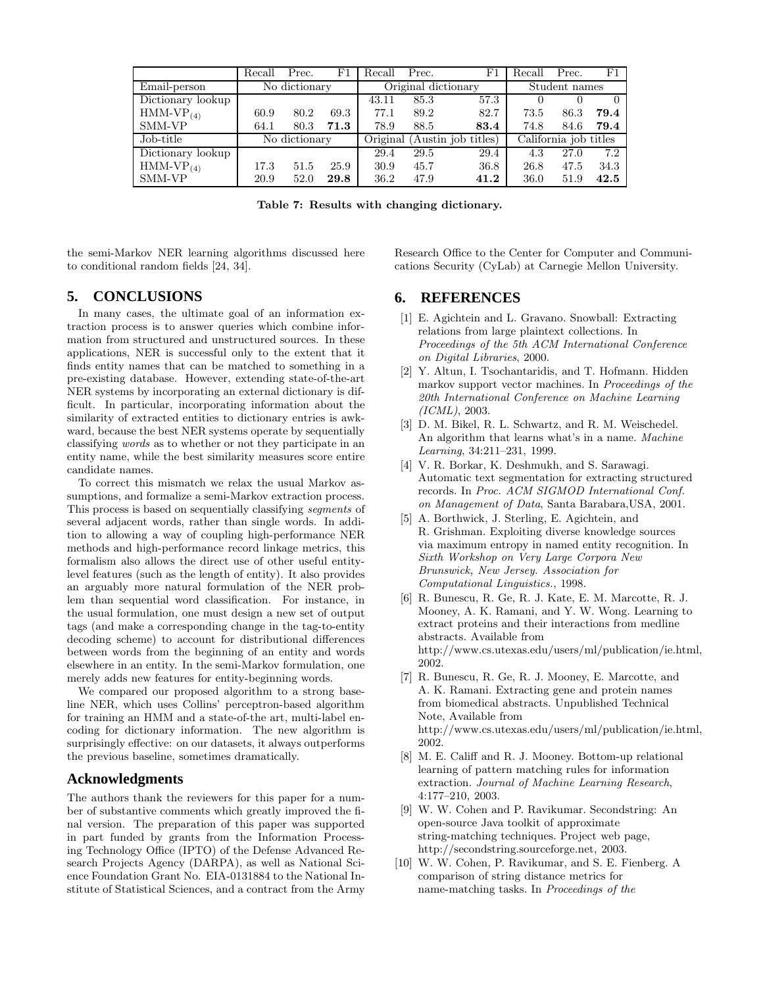|                   | Recall | Prec.         | F1   | Recall   | Prec.               | $_{\rm F1}$        | Recall | Prec.                 | F1   |
|-------------------|--------|---------------|------|----------|---------------------|--------------------|--------|-----------------------|------|
| Email-person      |        | No dictionary |      |          | Original dictionary |                    |        | Student names         |      |
| Dictionary lookup |        |               |      | 43.11    | 85.3                | 57.3               |        |                       |      |
| $HMM-VP_{(4)}$    | 60.9   | 80.2          | 69.3 | 77.1     | 89.2                | 82.7               | 73.5   | 86.3                  | 79.4 |
| SMM-VP            | 64.1   | 80.3          | 71.3 | 78.9     | 88.5                | 83.4               | 74.8   | 84.6                  | 79.4 |
| Job-title         |        | No dictionary |      | Original |                     | Austin job titles) |        | California job titles |      |
| Dictionary lookup |        |               |      | 29.4     | 29.5                | 29.4               | 4.3    | 27.0                  | 7.2  |
| $HMM-VP_{(4)}$    | 17.3   | 51.5          | 25.9 | 30.9     | 45.7                | 36.8               | 26.8   | 47.5                  | 34.3 |
| SMM-VP            | 20.9   | 52.0          | 29.8 | 36.2     | 47.9                | 41.2               | 36.0   | 51.9                  | 42.5 |

Table 7: Results with changing dictionary.

the semi-Markov NER learning algorithms discussed here to conditional random fields [24, 34].

Research Office to the Center for Computer and Communications Security (CyLab) at Carnegie Mellon University.

## **5. CONCLUSIONS**

In many cases, the ultimate goal of an information extraction process is to answer queries which combine information from structured and unstructured sources. In these applications, NER is successful only to the extent that it finds entity names that can be matched to something in a pre-existing database. However, extending state-of-the-art NER systems by incorporating an external dictionary is difficult. In particular, incorporating information about the similarity of extracted entities to dictionary entries is awkward, because the best NER systems operate by sequentially classifying words as to whether or not they participate in an entity name, while the best similarity measures score entire candidate names.

To correct this mismatch we relax the usual Markov assumptions, and formalize a semi-Markov extraction process. This process is based on sequentially classifying segments of several adjacent words, rather than single words. In addition to allowing a way of coupling high-performance NER methods and high-performance record linkage metrics, this formalism also allows the direct use of other useful entitylevel features (such as the length of entity). It also provides an arguably more natural formulation of the NER problem than sequential word classification. For instance, in the usual formulation, one must design a new set of output tags (and make a corresponding change in the tag-to-entity decoding scheme) to account for distributional differences between words from the beginning of an entity and words elsewhere in an entity. In the semi-Markov formulation, one merely adds new features for entity-beginning words.

We compared our proposed algorithm to a strong baseline NER, which uses Collins' perceptron-based algorithm for training an HMM and a state-of-the art, multi-label encoding for dictionary information. The new algorithm is surprisingly effective: on our datasets, it always outperforms the previous baseline, sometimes dramatically.

## **Acknowledgments**

The authors thank the reviewers for this paper for a number of substantive comments which greatly improved the final version. The preparation of this paper was supported in part funded by grants from the Information Processing Technology Office (IPTO) of the Defense Advanced Research Projects Agency (DARPA), as well as National Science Foundation Grant No. EIA-0131884 to the National Institute of Statistical Sciences, and a contract from the Army

# **6. REFERENCES**

- [1] E. Agichtein and L. Gravano. Snowball: Extracting relations from large plaintext collections. In Proceedings of the 5th ACM International Conference on Digital Libraries, 2000.
- [2] Y. Altun, I. Tsochantaridis, and T. Hofmann. Hidden markov support vector machines. In Proceedings of the 20th International Conference on Machine Learning (ICML), 2003.
- [3] D. M. Bikel, R. L. Schwartz, and R. M. Weischedel. An algorithm that learns what's in a name. Machine Learning, 34:211–231, 1999.
- [4] V. R. Borkar, K. Deshmukh, and S. Sarawagi. Automatic text segmentation for extracting structured records. In Proc. ACM SIGMOD International Conf. on Management of Data, Santa Barabara,USA, 2001.
- [5] A. Borthwick, J. Sterling, E. Agichtein, and R. Grishman. Exploiting diverse knowledge sources via maximum entropy in named entity recognition. In Sixth Workshop on Very Large Corpora New Brunswick, New Jersey. Association for Computational Linguistics., 1998.
- [6] R. Bunescu, R. Ge, R. J. Kate, E. M. Marcotte, R. J. Mooney, A. K. Ramani, and Y. W. Wong. Learning to extract proteins and their interactions from medline abstracts. Available from http://www.cs.utexas.edu/users/ml/publication/ie.html, 2002.
- [7] R. Bunescu, R. Ge, R. J. Mooney, E. Marcotte, and A. K. Ramani. Extracting gene and protein names from biomedical abstracts. Unpublished Technical Note, Available from http://www.cs.utexas.edu/users/ml/publication/ie.html, 2002.
- [8] M. E. Califf and R. J. Mooney. Bottom-up relational learning of pattern matching rules for information extraction. Journal of Machine Learning Research, 4:177–210, 2003.
- [9] W. W. Cohen and P. Ravikumar. Secondstring: An open-source Java toolkit of approximate string-matching techniques. Project web page, http://secondstring.sourceforge.net, 2003.
- [10] W. W. Cohen, P. Ravikumar, and S. E. Fienberg. A comparison of string distance metrics for name-matching tasks. In Proceedings of the